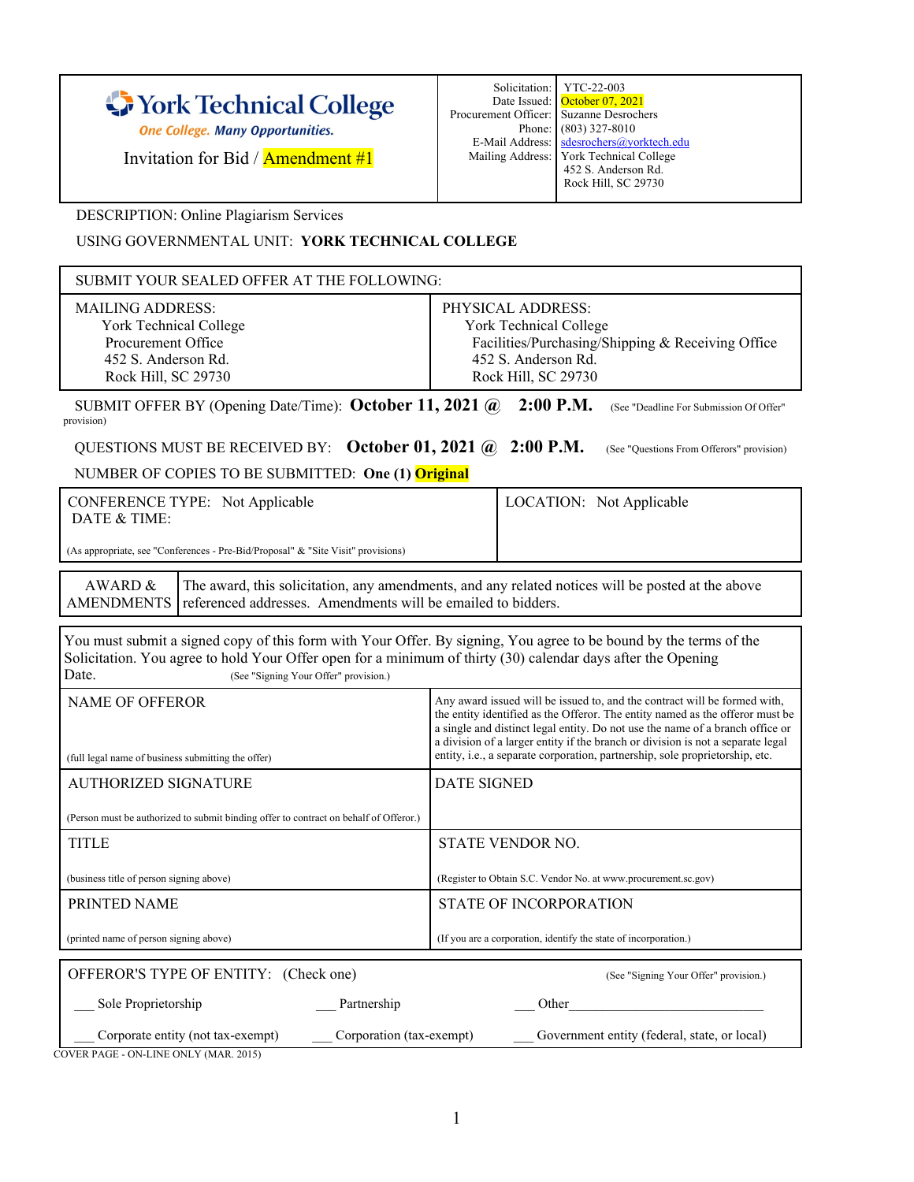|  | York Technical College |  |
|--|------------------------|--|
|  |                        |  |

One College. Many Opportunities.

Invitation for Bid / Amendment #1

DESCRIPTION: Online Plagiarism Services

USING GOVERNMENTAL UNIT: **YORK TECHNICAL COLLEGE**

| SUBMIT YOUR SEALED OFFER AT THE FOLLOWING:                                                                                                                                                                                                                                          |                                                                                                                                                                                                                                                                                                                                                                                                                |  |  |
|-------------------------------------------------------------------------------------------------------------------------------------------------------------------------------------------------------------------------------------------------------------------------------------|----------------------------------------------------------------------------------------------------------------------------------------------------------------------------------------------------------------------------------------------------------------------------------------------------------------------------------------------------------------------------------------------------------------|--|--|
| <b>MAILING ADDRESS:</b><br>York Technical College<br>Procurement Office<br>452 S. Anderson Rd.<br>Rock Hill, SC 29730                                                                                                                                                               | PHYSICAL ADDRESS:<br>York Technical College<br>Facilities/Purchasing/Shipping & Receiving Office<br>452 S. Anderson Rd.<br>Rock Hill, SC 29730                                                                                                                                                                                                                                                                 |  |  |
| $2:00$ P.M.<br>SUBMIT OFFER BY (Opening Date/Time): October 11, 2021 @<br>(See "Deadline For Submission Of Offer"<br>provision)                                                                                                                                                     |                                                                                                                                                                                                                                                                                                                                                                                                                |  |  |
| QUESTIONS MUST BE RECEIVED BY: October 01, 2021 $\omega$ 2:00 P.M.                                                                                                                                                                                                                  | (See "Questions From Offerors" provision)                                                                                                                                                                                                                                                                                                                                                                      |  |  |
| NUMBER OF COPIES TO BE SUBMITTED: One (1) Original                                                                                                                                                                                                                                  |                                                                                                                                                                                                                                                                                                                                                                                                                |  |  |
| <b>CONFERENCE TYPE:</b> Not Applicable<br>DATE & TIME:                                                                                                                                                                                                                              | LOCATION: Not Applicable                                                                                                                                                                                                                                                                                                                                                                                       |  |  |
| (As appropriate, see "Conferences - Pre-Bid/Proposal" & "Site Visit" provisions)                                                                                                                                                                                                    |                                                                                                                                                                                                                                                                                                                                                                                                                |  |  |
| AWARD &<br>The award, this solicitation, any amendments, and any related notices will be posted at the above<br>referenced addresses. Amendments will be emailed to bidders.<br><b>AMENDMENTS</b>                                                                                   |                                                                                                                                                                                                                                                                                                                                                                                                                |  |  |
| You must submit a signed copy of this form with Your Offer. By signing, You agree to be bound by the terms of the<br>Solicitation. You agree to hold Your Offer open for a minimum of thirty (30) calendar days after the Opening<br>Date.<br>(See "Signing Your Offer" provision.) |                                                                                                                                                                                                                                                                                                                                                                                                                |  |  |
| <b>NAME OF OFFEROR</b><br>(full legal name of business submitting the offer)                                                                                                                                                                                                        | Any award issued will be issued to, and the contract will be formed with,<br>the entity identified as the Offeror. The entity named as the offeror must be<br>a single and distinct legal entity. Do not use the name of a branch office or<br>a division of a larger entity if the branch or division is not a separate legal<br>entity, i.e., a separate corporation, partnership, sole proprietorship, etc. |  |  |
| <b>AUTHORIZED SIGNATURE</b>                                                                                                                                                                                                                                                         | <b>DATE SIGNED</b>                                                                                                                                                                                                                                                                                                                                                                                             |  |  |
| (Person must be authorized to submit binding offer to contract on behalf of Offeror.)                                                                                                                                                                                               |                                                                                                                                                                                                                                                                                                                                                                                                                |  |  |
| <b>TITLE</b>                                                                                                                                                                                                                                                                        | STATE VENDOR NO.                                                                                                                                                                                                                                                                                                                                                                                               |  |  |
| (business title of person signing above)                                                                                                                                                                                                                                            | (Register to Obtain S.C. Vendor No. at www.procurement.sc.gov)                                                                                                                                                                                                                                                                                                                                                 |  |  |
| PRINTED NAME                                                                                                                                                                                                                                                                        | <b>STATE OF INCORPORATION</b>                                                                                                                                                                                                                                                                                                                                                                                  |  |  |
| (printed name of person signing above)                                                                                                                                                                                                                                              | (If you are a corporation, identify the state of incorporation.)                                                                                                                                                                                                                                                                                                                                               |  |  |
| OFFEROR'S TYPE OF ENTITY: (Check one)                                                                                                                                                                                                                                               | (See "Signing Your Offer" provision.)                                                                                                                                                                                                                                                                                                                                                                          |  |  |
| Sole Proprietorship<br>Partnership                                                                                                                                                                                                                                                  | Other                                                                                                                                                                                                                                                                                                                                                                                                          |  |  |
| Government entity (federal, state, or local)<br>Corporate entity (not tax-exempt)<br>Corporation (tax-exempt)                                                                                                                                                                       |                                                                                                                                                                                                                                                                                                                                                                                                                |  |  |

COVER PAGE - ON-LINE ONLY (MAR. 2015)

|                                           | Solicitation: YTC-22-003                 |
|-------------------------------------------|------------------------------------------|
|                                           | Date Issued: October 07, 2021            |
| Procurement Officer:   Suzanne Desrochers |                                          |
|                                           | Phone: (803) 327-8010                    |
|                                           | E-Mail Address: sdesrochers@yorktech.edu |
|                                           | Mailing Address: York Technical College  |
|                                           | 452 S. Anderson Rd.                      |
|                                           | Rock Hill, SC 29730                      |
|                                           |                                          |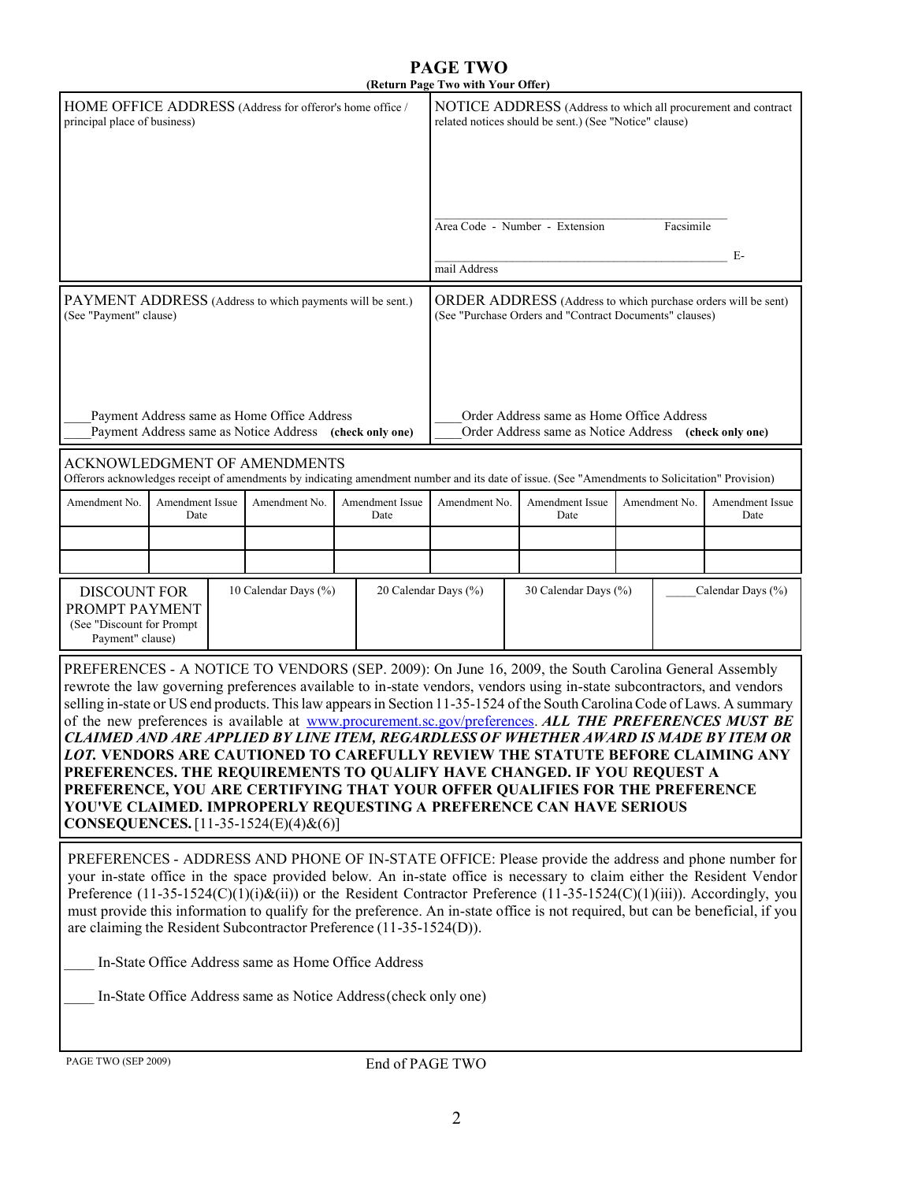## **PAGE TWO (Return Page Two with Your Offer)**

|                                                                                                                                                                                                                                                                                                                                                                                                                                                                                                                                                                                                                                                                                                                                                                                                                                                                                                                                  |                                                                                                        |                      |                                                                                                                          | y 1 110 111111 1 001 OIRT                                                                                               |                                                                                                                                                |               |                         |
|----------------------------------------------------------------------------------------------------------------------------------------------------------------------------------------------------------------------------------------------------------------------------------------------------------------------------------------------------------------------------------------------------------------------------------------------------------------------------------------------------------------------------------------------------------------------------------------------------------------------------------------------------------------------------------------------------------------------------------------------------------------------------------------------------------------------------------------------------------------------------------------------------------------------------------|--------------------------------------------------------------------------------------------------------|----------------------|--------------------------------------------------------------------------------------------------------------------------|-------------------------------------------------------------------------------------------------------------------------|------------------------------------------------------------------------------------------------------------------------------------------------|---------------|-------------------------|
| HOME OFFICE ADDRESS (Address for offeror's home office /<br>principal place of business)                                                                                                                                                                                                                                                                                                                                                                                                                                                                                                                                                                                                                                                                                                                                                                                                                                         |                                                                                                        |                      |                                                                                                                          | NOTICE ADDRESS (Address to which all procurement and contract<br>related notices should be sent.) (See "Notice" clause) |                                                                                                                                                |               |                         |
|                                                                                                                                                                                                                                                                                                                                                                                                                                                                                                                                                                                                                                                                                                                                                                                                                                                                                                                                  |                                                                                                        |                      |                                                                                                                          |                                                                                                                         | Area Code - Number - Extension                                                                                                                 | Facsimile     |                         |
|                                                                                                                                                                                                                                                                                                                                                                                                                                                                                                                                                                                                                                                                                                                                                                                                                                                                                                                                  |                                                                                                        |                      |                                                                                                                          |                                                                                                                         |                                                                                                                                                |               | E-                      |
|                                                                                                                                                                                                                                                                                                                                                                                                                                                                                                                                                                                                                                                                                                                                                                                                                                                                                                                                  |                                                                                                        |                      |                                                                                                                          | mail Address                                                                                                            |                                                                                                                                                |               |                         |
| PAYMENT ADDRESS (Address to which payments will be sent.)<br>(See "Payment" clause)                                                                                                                                                                                                                                                                                                                                                                                                                                                                                                                                                                                                                                                                                                                                                                                                                                              |                                                                                                        |                      | ORDER ADDRESS (Address to which purchase orders will be sent)<br>(See "Purchase Orders and "Contract Documents" clauses) |                                                                                                                         |                                                                                                                                                |               |                         |
|                                                                                                                                                                                                                                                                                                                                                                                                                                                                                                                                                                                                                                                                                                                                                                                                                                                                                                                                  | Payment Address same as Home Office Address<br>Payment Address same as Notice Address (check only one) |                      |                                                                                                                          |                                                                                                                         | Order Address same as Home Office Address<br>Order Address same as Notice Address (check only one)                                             |               |                         |
|                                                                                                                                                                                                                                                                                                                                                                                                                                                                                                                                                                                                                                                                                                                                                                                                                                                                                                                                  | <b>ACKNOWLEDGMENT OF AMENDMENTS</b>                                                                    |                      |                                                                                                                          |                                                                                                                         | Offerors acknowledges receipt of amendments by indicating amendment number and its date of issue. (See "Amendments to Solicitation" Provision) |               |                         |
| Amendment No.                                                                                                                                                                                                                                                                                                                                                                                                                                                                                                                                                                                                                                                                                                                                                                                                                                                                                                                    | Amendment Issue<br>Date                                                                                | Amendment No.        | Amendment Issue<br>Date                                                                                                  | Amendment No.                                                                                                           | <b>Amendment Issue</b><br>Date                                                                                                                 | Amendment No. | Amendment Issue<br>Date |
|                                                                                                                                                                                                                                                                                                                                                                                                                                                                                                                                                                                                                                                                                                                                                                                                                                                                                                                                  |                                                                                                        |                      |                                                                                                                          |                                                                                                                         |                                                                                                                                                |               |                         |
|                                                                                                                                                                                                                                                                                                                                                                                                                                                                                                                                                                                                                                                                                                                                                                                                                                                                                                                                  |                                                                                                        |                      |                                                                                                                          |                                                                                                                         |                                                                                                                                                |               |                         |
| <b>DISCOUNT FOR</b><br>PROMPT PAYMENT<br>(See "Discount for Prompt<br>Payment" clause)                                                                                                                                                                                                                                                                                                                                                                                                                                                                                                                                                                                                                                                                                                                                                                                                                                           |                                                                                                        | 10 Calendar Days (%) |                                                                                                                          | 20 Calendar Days (%)                                                                                                    | 30 Calendar Days (%)                                                                                                                           |               | Calendar Days (%)       |
| PREFERENCES - A NOTICE TO VENDORS (SEP. 2009): On June 16, 2009, the South Carolina General Assembly<br>rewrote the law governing preferences available to in-state vendors, vendors using in-state subcontractors, and vendors<br>selling in-state or US end products. This law appears in Section 11-35-1524 of the South Carolina Code of Laws. A summary<br>of the new preferences is available at www.procurement.sc.gov/preferences. ALL THE PREFERENCES MUST BE<br>CLAIMED AND ARE APPLIED BY LINE ITEM, REGARDLESS OF WHETHER AWARD IS MADE BY ITEM OR<br>LOT. VENDORS ARE CAUTIONED TO CAREFULLY REVIEW THE STATUTE BEFORE CLAIMING ANY<br>PREFERENCES. THE REQUIREMENTS TO QUALIFY HAVE CHANGED. IF YOU REQUEST A<br>PREFERENCE, YOU ARE CERTIFYING THAT YOUR OFFER QUALIFIES FOR THE PREFERENCE<br>YOU'VE CLAIMED. IMPROPERLY REQUESTING A PREFERENCE CAN HAVE SERIOUS<br><b>CONSEQUENCES.</b> [11-35-1524(E)(4)&(6)] |                                                                                                        |                      |                                                                                                                          |                                                                                                                         |                                                                                                                                                |               |                         |
| PREFERENCES - ADDRESS AND PHONE OF IN-STATE OFFICE: Please provide the address and phone number for<br>your in-state office in the space provided below. An in-state office is necessary to claim either the Resident Vendor<br>Preference $(11-35-1524(C)(1)(i)\&$ (ii)) or the Resident Contractor Preference $(11-35-1524(C)(1)(iii))$ . Accordingly, you<br>must provide this information to qualify for the preference. An in-state office is not required, but can be beneficial, if you<br>are claiming the Resident Subcontractor Preference (11-35-1524(D)).                                                                                                                                                                                                                                                                                                                                                            |                                                                                                        |                      |                                                                                                                          |                                                                                                                         |                                                                                                                                                |               |                         |
| In-State Office Address same as Home Office Address                                                                                                                                                                                                                                                                                                                                                                                                                                                                                                                                                                                                                                                                                                                                                                                                                                                                              |                                                                                                        |                      |                                                                                                                          |                                                                                                                         |                                                                                                                                                |               |                         |
| In-State Office Address same as Notice Address (check only one)                                                                                                                                                                                                                                                                                                                                                                                                                                                                                                                                                                                                                                                                                                                                                                                                                                                                  |                                                                                                        |                      |                                                                                                                          |                                                                                                                         |                                                                                                                                                |               |                         |